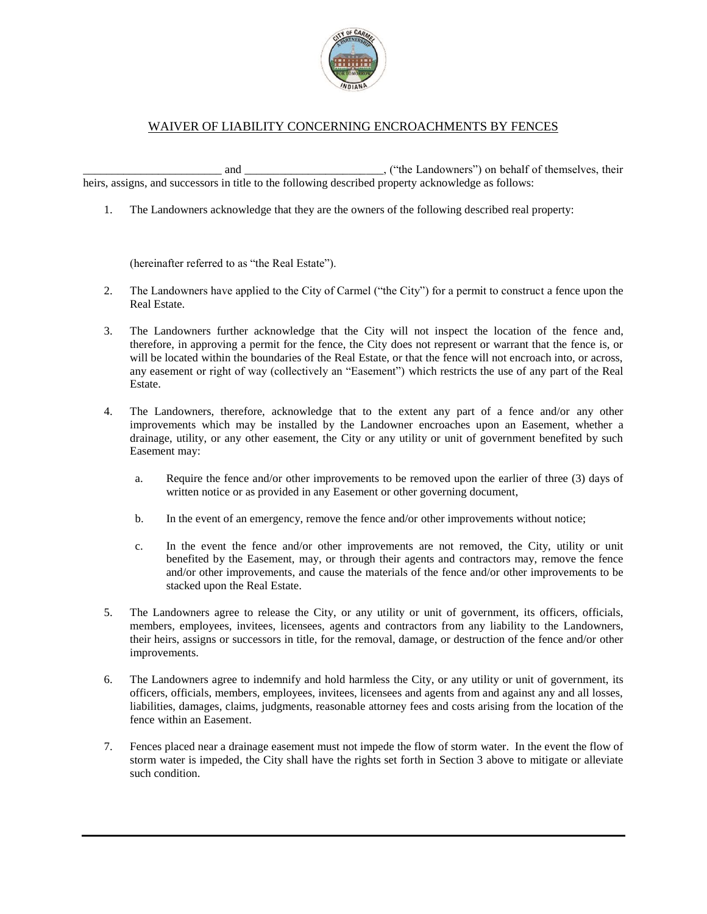

## WAIVER OF LIABILITY CONCERNING ENCROACHMENTS BY FENCES

and \_\_\_\_\_\_\_\_\_\_\_\_\_\_\_\_\_\_\_\_\_\_\_\_\_\_\_, ("the Landowners") on behalf of themselves, their heirs, assigns, and successors in title to the following described property acknowledge as follows:

1. The Landowners acknowledge that they are the owners of the following described real property:

(hereinafter referred to as "the Real Estate").

- 2. The Landowners have applied to the City of Carmel ("the City") for a permit to construct a fence upon the Real Estate.
- 3. The Landowners further acknowledge that the City will not inspect the location of the fence and, therefore, in approving a permit for the fence, the City does not represent or warrant that the fence is, or will be located within the boundaries of the Real Estate, or that the fence will not encroach into, or across, any easement or right of way (collectively an "Easement") which restricts the use of any part of the Real Estate.
- 4. The Landowners, therefore, acknowledge that to the extent any part of a fence and/or any other improvements which may be installed by the Landowner encroaches upon an Easement, whether a drainage, utility, or any other easement, the City or any utility or unit of government benefited by such Easement may:
	- a. Require the fence and/or other improvements to be removed upon the earlier of three (3) days of written notice or as provided in any Easement or other governing document,
	- b. In the event of an emergency, remove the fence and/or other improvements without notice;
	- c. In the event the fence and/or other improvements are not removed, the City, utility or unit benefited by the Easement, may, or through their agents and contractors may, remove the fence and/or other improvements, and cause the materials of the fence and/or other improvements to be stacked upon the Real Estate.
- 5. The Landowners agree to release the City, or any utility or unit of government, its officers, officials, members, employees, invitees, licensees, agents and contractors from any liability to the Landowners, their heirs, assigns or successors in title, for the removal, damage, or destruction of the fence and/or other improvements.
- 6. The Landowners agree to indemnify and hold harmless the City, or any utility or unit of government, its officers, officials, members, employees, invitees, licensees and agents from and against any and all losses, liabilities, damages, claims, judgments, reasonable attorney fees and costs arising from the location of the fence within an Easement.
- 7. Fences placed near a drainage easement must not impede the flow of storm water. In the event the flow of storm water is impeded, the City shall have the rights set forth in Section 3 above to mitigate or alleviate such condition.